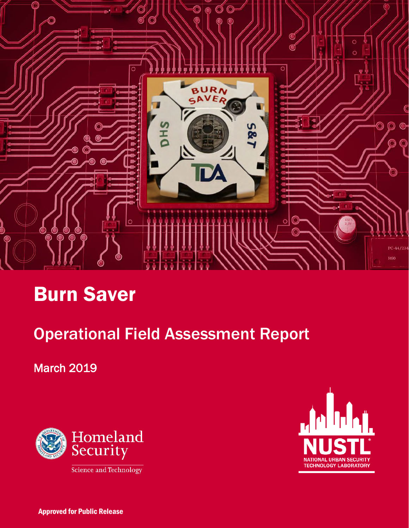

# Burn Saver

# Operational Field Assessment Report

March 2019





Approved for Public Release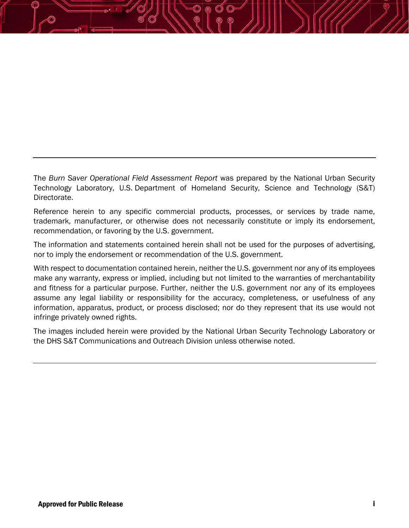The *Burn Saver Operational Field Assessment Report* was prepared by the National Urban Security Technology Laboratory, U.S. Department of Homeland Security, Science and Technology (S&T) Directorate.

Reference herein to any specific commercial products, processes, or services by trade name, trademark, manufacturer, or otherwise does not necessarily constitute or imply its endorsement, recommendation, or favoring by the U.S. government.

The information and statements contained herein shall not be used for the purposes of advertising, nor to imply the endorsement or recommendation of the U.S. government.

With respect to documentation contained herein, neither the U.S. government nor any of its employees make any warranty, express or implied, including but not limited to the warranties of merchantability and fitness for a particular purpose. Further, neither the U.S. government nor any of its employees assume any legal liability or responsibility for the accuracy, completeness, or usefulness of any information, apparatus, product, or process disclosed; nor do they represent that its use would not infringe privately owned rights.

The images included herein were provided by the National Urban Security Technology Laboratory or the DHS S&T Communications and Outreach Division unless otherwise noted.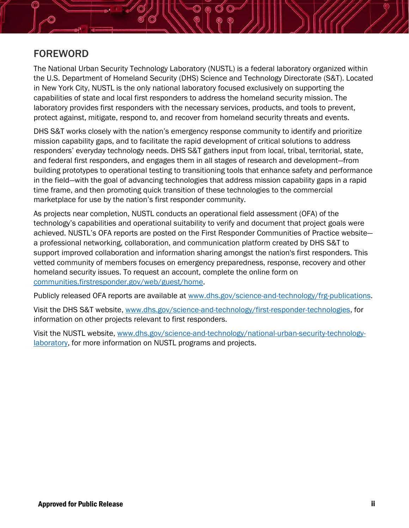

## FOREWORD

The National Urban Security Technology Laboratory (NUSTL) is a federal laboratory organized within the U.S. Department of Homeland Security (DHS) Science and Technology Directorate (S&T). Located in New York City, NUSTL is the only national laboratory focused exclusively on supporting the capabilities of state and local first responders to address the homeland security mission. The laboratory provides first responders with the necessary services, products, and tools to prevent, protect against, mitigate, respond to, and recover from homeland security threats and events.

DHS S&T works closely with the nation's emergency response community to identify and prioritize mission capability gaps, and to facilitate the rapid development of critical solutions to address responders' everyday technology needs. DHS S&T gathers input from local, tribal, territorial, state, and federal first responders, and engages them in all stages of research and development—from building prototypes to operational testing to transitioning tools that enhance safety and performance in the field—with the goal of advancing technologies that address mission capability gaps in a rapid time frame, and then promoting quick transition of these technologies to the commercial marketplace for use by the nation's first responder community.

As projects near completion, NUSTL conducts an operational field assessment (OFA) of the technology's capabilities and operational suitability to verify and document that project goals were achieved. NUSTL's OFA reports are posted on the First Responder Communities of Practice website a professional networking, collaboration, and communication platform created by DHS S&T to support improved collaboration and information sharing amongst the nation's first responders. This vetted community of members focuses on emergency preparedness, response, recovery and other homeland security issues. To request an account, complete the online form on [communities.firstresponder.gov/web/guest/home.](https://communities.firstresponder.gov/web/guest/home)

Publicly released OFA reports are available at [www.dhs.gov/science-and-technology/frg-publications.](http://www.dhs.gov/science-and-technology/frg-publications)

Visit the DHS S&T website, [www.dhs.gov/science-and-technology/first-responder-technologies,](http://www.dhs.gov/science-and-technology/first-responder-technologies) for information on other projects relevant to first responders.

Visit the NUSTL website, [www.dhs.gov/science-and-technology/national-urban-security-technology](https://www.dhs.gov/science-and-technology/first-responder-technologies)[laboratory,](https://www.dhs.gov/science-and-technology/first-responder-technologies) for more information on NUSTL programs and projects.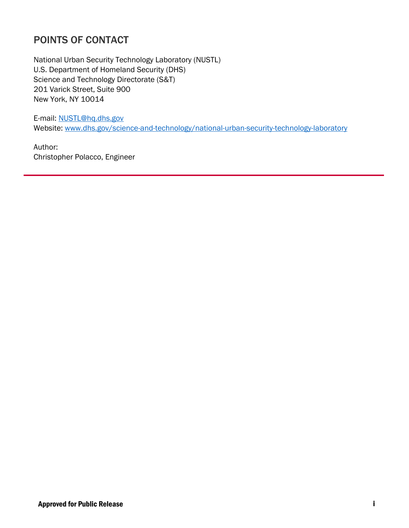# POINTS OF CONTACT

National Urban Security Technology Laboratory (NUSTL) U.S. Department of Homeland Security (DHS) Science and Technology Directorate (S&T) 201 Varick Street, Suite 900 New York, NY 10014

E-mail: [NUSTL@hq.dhs.gov](mailto:NUSTL@hq.dhs.gov) Website: [www.dhs.gov/science-and-technology/national-urban-security-technology-laboratory](https://www.dhs.gov/science-and-technology/first-responder-technologies)

Author: Christopher Polacco, Engineer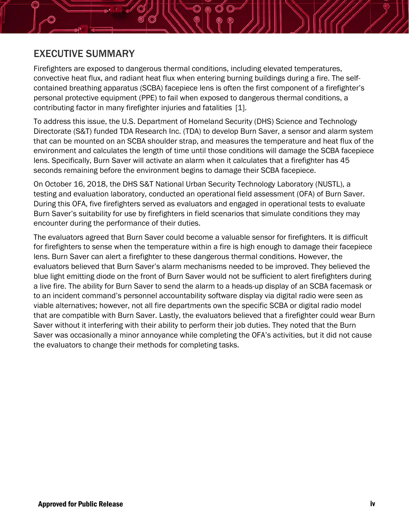

## EXECUTIVE SUMMARY

Firefighters are exposed to dangerous thermal conditions, including elevated temperatures, convective heat flux, and radiant heat flux when entering burning buildings during a fire. The selfcontained breathing apparatus (SCBA) facepiece lens is often the first component of a firefighter's personal protective equipment (PPE) to fail when exposed to dangerous thermal conditions, a contributing factor in many firefighter injuries and fatalities [1].

To address this issue, the U.S. Department of Homeland Security (DHS) Science and Technology Directorate (S&T) funded TDA Research Inc. (TDA) to develop Burn Saver, a sensor and alarm system that can be mounted on an SCBA shoulder strap, and measures the temperature and heat flux of the environment and calculates the length of time until those conditions will damage the SCBA facepiece lens. Specifically, Burn Saver will activate an alarm when it calculates that a firefighter has 45 seconds remaining before the environment begins to damage their SCBA facepiece.

On October 16, 2018, the DHS S&T National Urban Security Technology Laboratory (NUSTL), a testing and evaluation laboratory, conducted an operational field assessment (OFA) of Burn Saver. During this OFA, five firefighters served as evaluators and engaged in operational tests to evaluate Burn Saver's suitability for use by firefighters in field scenarios that simulate conditions they may encounter during the performance of their duties.

The evaluators agreed that Burn Saver could become a valuable sensor for firefighters. It is difficult for firefighters to sense when the temperature within a fire is high enough to damage their facepiece lens. Burn Saver can alert a firefighter to these dangerous thermal conditions. However, the evaluators believed that Burn Saver's alarm mechanisms needed to be improved. They believed the blue light emitting diode on the front of Burn Saver would not be sufficient to alert firefighters during a live fire. The ability for Burn Saver to send the alarm to a heads-up display of an SCBA facemask or to an incident command's personnel accountability software display via digital radio were seen as viable alternatives; however, not all fire departments own the specific SCBA or digital radio model that are compatible with Burn Saver. Lastly, the evaluators believed that a firefighter could wear Burn Saver without it interfering with their ability to perform their job duties. They noted that the Burn Saver was occasionally a minor annoyance while completing the OFA's activities, but it did not cause the evaluators to change their methods for completing tasks.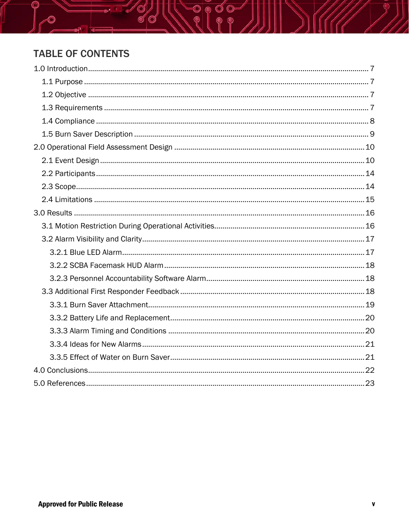# **TABLE OF CONTENTS**

 $\overline{\circ}$   $\overline{\circ}$ 

 $\circ$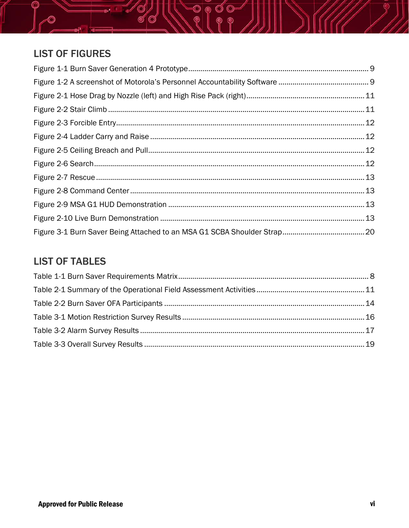

# **LIST OF FIGURES**

# **LIST OF TABLES**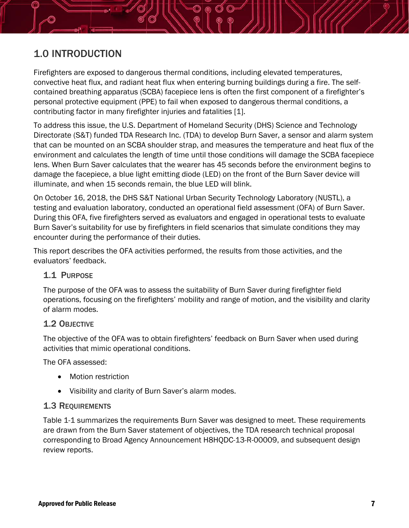# <span id="page-7-0"></span>1.0 INTRODUCTION

Firefighters are exposed to dangerous thermal conditions, including elevated temperatures, convective heat flux, and radiant heat flux when entering burning buildings during a fire. The selfcontained breathing apparatus (SCBA) facepiece lens is often the first component of a firefighter's personal protective equipment (PPE) to fail when exposed to dangerous thermal conditions, a contributing factor in many firefighter injuries and fatalities [1].

To address this issue, the U.S. Department of Homeland Security (DHS) Science and Technology Directorate (S&T) funded TDA Research Inc. (TDA) to develop Burn Saver, a sensor and alarm system that can be mounted on an SCBA shoulder strap, and measures the temperature and heat flux of the environment and calculates the length of time until those conditions will damage the SCBA facepiece lens. When Burn Saver calculates that the wearer has 45 seconds before the environment begins to damage the facepiece, a blue light emitting diode (LED) on the front of the Burn Saver device will illuminate, and when 15 seconds remain, the blue LED will blink.

On October 16, 2018, the DHS S&T National Urban Security Technology Laboratory (NUSTL), a testing and evaluation laboratory, conducted an operational field assessment (OFA) of Burn Saver. During this OFA, five firefighters served as evaluators and engaged in operational tests to evaluate Burn Saver's suitability for use by firefighters in field scenarios that simulate conditions they may encounter during the performance of their duties.

This report describes the OFA activities performed, the results from those activities, and the evaluators' feedback.

### <span id="page-7-1"></span>1.1 PURPOSE

The purpose of the OFA was to assess the suitability of Burn Saver during firefighter field operations, focusing on the firefighters' mobility and range of motion, and the visibility and clarity of alarm modes.

### <span id="page-7-2"></span>1.2 OBJECTIVE

The objective of the OFA was to obtain firefighters' feedback on Burn Saver when used during activities that mimic operational conditions.

The OFA assessed:

- Motion restriction
- Visibility and clarity of Burn Saver's alarm modes.

### <span id="page-7-3"></span>1.3 REQUIREMENTS

[Table 1-1](#page-8-1) summarizes the requirements Burn Saver was designed to meet. These requirements are drawn from the Burn Saver statement of objectives, the TDA research technical proposal corresponding to Broad Agency Announcement H8HQDC-13-R-00009, and subsequent design review reports.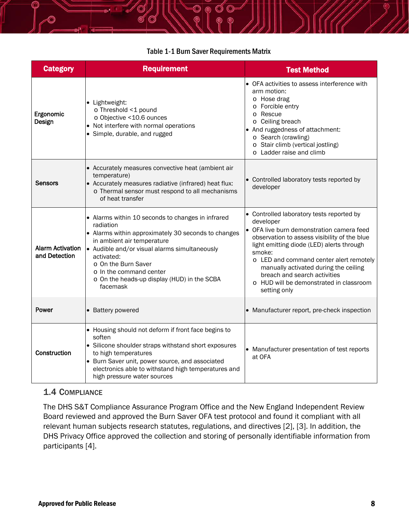#### Table 1-1 Burn Saver Requirements Matrix

<span id="page-8-1"></span>

| <b>Category</b>                          | <b>Requirement</b>                                                                                                                                                                                                                                                                                                              | <b>Test Method</b>                                                                                                                                                                                                                                                                                                                                                                        |
|------------------------------------------|---------------------------------------------------------------------------------------------------------------------------------------------------------------------------------------------------------------------------------------------------------------------------------------------------------------------------------|-------------------------------------------------------------------------------------------------------------------------------------------------------------------------------------------------------------------------------------------------------------------------------------------------------------------------------------------------------------------------------------------|
| Ergonomic<br>Design                      | • Lightweight:<br>o Threshold <1 pound<br>o Objective <10.6 ounces<br>• Not interfere with normal operations<br>• Simple, durable, and rugged                                                                                                                                                                                   | • OFA activities to assess interference with<br>arm motion:<br>o Hose drag<br>o Forcible entry<br>o Rescue<br>o Ceiling breach<br>And ruggedness of attachment:<br>o Search (crawling)<br>o Stair climb (vertical jostling)<br>o Ladder raise and climb                                                                                                                                   |
| Sensors                                  | • Accurately measures convective heat (ambient air<br>temperature)<br>• Accurately measures radiative (infrared) heat flux:<br>o Thermal sensor must respond to all mechanisms<br>of heat transfer                                                                                                                              | • Controlled laboratory tests reported by<br>developer                                                                                                                                                                                                                                                                                                                                    |
| <b>Alarm Activation</b><br>and Detection | • Alarms within 10 seconds to changes in infrared<br>radiation<br>• Alarms within approximately 30 seconds to changes<br>in ambient air temperature<br>• Audible and/or visual alarms simultaneously<br>activated:<br>o On the Burn Saver<br>o In the command center<br>o On the heads-up display (HUD) in the SCBA<br>facemask | • Controlled laboratory tests reported by<br>developer<br>• OFA live burn demonstration camera feed<br>observation to assess visibility of the blue<br>light emitting diode (LED) alerts through<br>smoke:<br>o LED and command center alert remotely<br>manually activated during the ceiling<br>breach and search activities<br>o HUD will be demonstrated in classroom<br>setting only |
| Power                                    | <b>Battery powered</b>                                                                                                                                                                                                                                                                                                          | Manufacturer report, pre-check inspection                                                                                                                                                                                                                                                                                                                                                 |
| Construction                             | • Housing should not deform if front face begins to<br>soften<br>• Silicone shoulder straps withstand short exposures<br>to high temperatures<br>• Burn Saver unit, power source, and associated<br>electronics able to withstand high temperatures and<br>high pressure water sources                                          | Manufacturer presentation of test reports<br>at OFA                                                                                                                                                                                                                                                                                                                                       |

#### <span id="page-8-0"></span>1.4 COMPLIANCE

The DHS S&T Compliance Assurance Program Office and the New England Independent Review Board reviewed and approved the Burn Saver OFA test protocol and found it compliant with all relevant human subjects research statutes, regulations, and directives [2], [3]. In addition, the DHS Privacy Office approved the collection and storing of personally identifiable information from participants [4].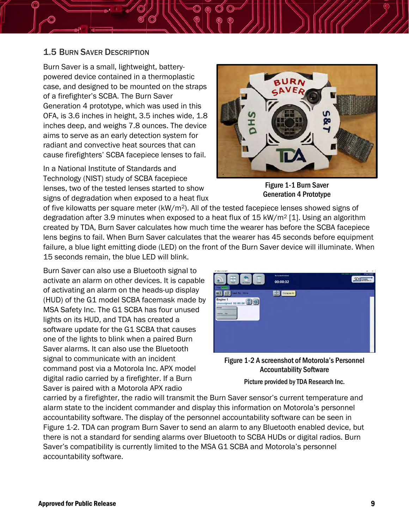

#### <span id="page-9-0"></span>1.5 BURN SAVER DESCRIPTION

Burn Saver is a small, lightweight, batterypowered device contained in a thermoplastic case, and designed to be mounted on the straps of a firefighter's SCBA. The Burn Saver Generation 4 prototype, which was used in this OFA, is 3.6 inches in height, 3.5 inches wide, 1.8 inches deep, and weighs 7.8 ounces. The device aims to serve as an early detection system for radiant and convective heat sources that can cause firefighters' SCBA facepiece lenses to fail.

In a National Institute of Standards and Technology (NIST) study of SCBA facepiece lenses, two of the tested lenses started to show signs of degradation when exposed to a heat flux



Figure 1-1 Burn Saver Generation 4 Prototype

of five kilowatts per square meter (kW/m2). All of the tested facepiece lenses showed signs of degradation after 3.9 minutes when exposed to a heat flux of 15 kW/m2 [1]. Using an algorithm created by TDA, Burn Saver calculates how much time the wearer has before the SCBA facepiece lens begins to fail. When Burn Saver calculates that the wearer has 45 seconds before equipment failure, a blue light emitting diode (LED) on the front of the Burn Saver device will illuminate. When 15 seconds remain, the blue LED will blink.

Burn Saver can also use a Bluetooth signal to activate an alarm on other devices. It is capable of activating an alarm on the heads-up display (HUD) of the G1 model SCBA facemask made by MSA Safety Inc. The G1 SCBA has four unused lights on its HUD, and TDA has created a software update for the G1 SCBA that causes one of the lights to blink when a paired Burn Saver alarms. It can also use the Bluetooth signal to communicate with an incident command post via a Motorola Inc. APX model digital radio carried by a firefighter. If a Burn Saver is paired with a Motorola APX radio

| AP ARM +3.0-A3071                                                                                                |                                           | $\Box$<br>$\mathbb{X}$<br>$\sim$                                                                              |
|------------------------------------------------------------------------------------------------------------------|-------------------------------------------|---------------------------------------------------------------------------------------------------------------|
| $\dot{\overline{\mathbf{u}}}$<br><b>The Second</b><br>m<br>View<br>Clear<br>On Scene<br>Channels<br>File   House | No Incident Selected<br>00:00:32          | <b>US PARAF PEARS STIL</b><br><b>SHARY CRAINER - GRY Pur Co.</b><br><b>START COM</b><br><b>SDI</b> BERMINDING |
| $M_{\odot}$<br>Lest Tx: None<br>Engine 1<br>Unassigned 00:00:00<br><b>Driver</b><br>1454.50<br>ree               | $\frac{1}{\text{custar}}$<br>Collapse All |                                                                                                               |

<span id="page-9-1"></span>Figure 1-2 A screenshot of Motorola's Personnel Accountability Software

Picture provided by TDA Research Inc.

carried by a firefighter, the radio will transmit the Burn Saver sensor's current temperature and alarm state to the incident commander and display this information on Motorola's personnel accountability software. The display of the personnel accountability software can be seen in [Figure 1-2.](#page-9-1) TDA can program Burn Saver to send an alarm to any Bluetooth enabled device, but there is not a standard for sending alarms over Bluetooth to SCBA HUDs or digital radios. Burn Saver's compatibility is currently limited to the MSA G1 SCBA and Motorola's personnel accountability software.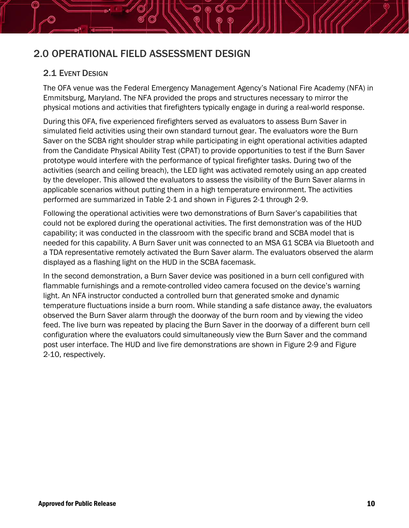# <span id="page-10-0"></span>2.0 OPERATIONAL FIELD ASSESSMENT DESIGN

#### <span id="page-10-1"></span>2.1 EVENT DESIGN

The OFA venue was the Federal Emergency Management Agency's National Fire Academy (NFA) in Emmitsburg, Maryland. The NFA provided the props and structures necessary to mirror the physical motions and activities that firefighters typically engage in during a real-world response.

During this OFA, five experienced firefighters served as evaluators to assess Burn Saver in simulated field activities using their own standard turnout gear. The evaluators wore the Burn Saver on the SCBA right shoulder strap while participating in eight operational activities adapted from the Candidate Physical Ability Test (CPAT) to provide opportunities to test if the Burn Saver prototype would interfere with the performance of typical firefighter tasks. During two of the activities (search and ceiling breach), the LED light was activated remotely using an app created by the developer. This allowed the evaluators to assess the visibility of the Burn Saver alarms in applicable scenarios without putting them in a high temperature environment. The activities performed are summarized in [Table 2-1](#page-11-0) and shown in Figures 2-1 through 2-9.

Following the operational activities were two demonstrations of Burn Saver's capabilities that could not be explored during the operational activities. The first demonstration was of the HUD capability; it was conducted in the classroom with the specific brand and SCBA model that is needed for this capability. A Burn Saver unit was connected to an MSA G1 SCBA via Bluetooth and a TDA representative remotely activated the Burn Saver alarm. The evaluators observed the alarm displayed as a flashing light on the HUD in the SCBA facemask.

In the second demonstration, a Burn Saver device was positioned in a burn cell configured with flammable furnishings and a remote-controlled video camera focused on the device's warning light. An NFA instructor conducted a controlled burn that generated smoke and dynamic temperature fluctuations inside a burn room. While standing a safe distance away, the evaluators observed the Burn Saver alarm through the doorway of the burn room and by viewing the video feed. The live burn was repeated by placing the Burn Saver in the doorway of a different burn cell configuration where the evaluators could simultaneously view the Burn Saver and the command post user interface. The HUD and live fire demonstrations are shown in [Figure 2-9](#page-13-0) and [Figure](#page-13-1)  [2-10,](#page-13-1) respectively.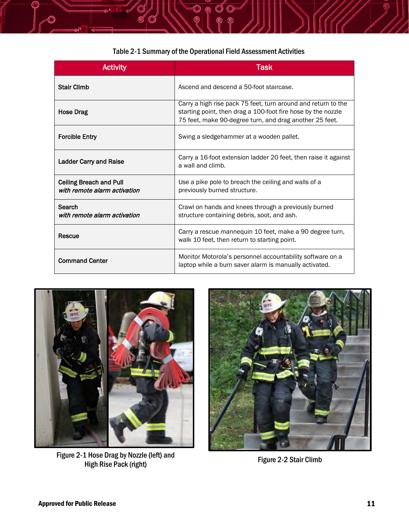<span id="page-11-0"></span>

|                                                                | Table 2-1 Summary of the Operational Field Assessment Activities                                                                                                                         |
|----------------------------------------------------------------|------------------------------------------------------------------------------------------------------------------------------------------------------------------------------------------|
| <b>Activity</b>                                                | <b>Task</b>                                                                                                                                                                              |
| <b>Stair Climb</b>                                             | Ascend and descend a 50-foot staircase.                                                                                                                                                  |
| <b>Hose Drag</b>                                               | Carry a high rise pack 75 feet, turn around and return to the<br>starting point, then drag a 100-foot fire hose by the nozzle<br>75 feet, make 90-degree turn, and drag another 25 feet. |
| <b>Forcible Entry</b>                                          | Swing a sledgehammer at a wooden pallet.                                                                                                                                                 |
| <b>Ladder Carry and Raise</b>                                  | Carry a 16-foot extension ladder 20 feet, then raise it against<br>a wall and climb.                                                                                                     |
| <b>Ceiling Breach and Pull</b><br>with remote alarm activation | Use a pike pole to breach the ceiling and walls of a<br>previously burned structure.                                                                                                     |
| Search<br>with remote alarm activation                         | Crawl on hands and knees through a previously burned<br>structure containing debris, soot, and ash.                                                                                      |
| Rescue                                                         | Carry a rescue mannequin 10 feet, make a 90 degree turn,<br>walk 10 feet, then return to starting point.                                                                                 |
| <b>Command Center</b>                                          | Monitor Motorola's personnel accountability software on a<br>laptop while a burn saver alarm is manually activated.                                                                      |



Figure 2-1 Hose Drag by Nozzle (left) and High Rise Pack (right) Figure 2-2 Stair Climb

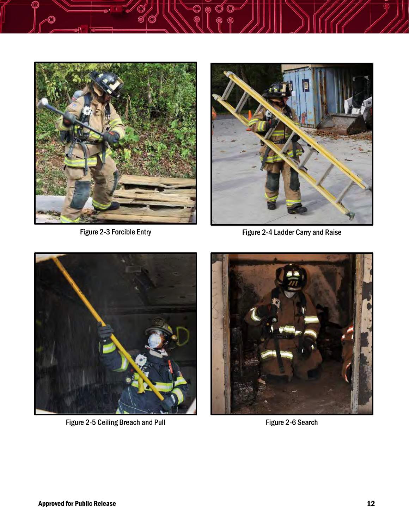



Figure 2-3 Forcible Entry **Figure 2-4 Ladder Carry and Raise** 



Figure 2-5 Ceiling Breach and Pull Figure 2-6 Search

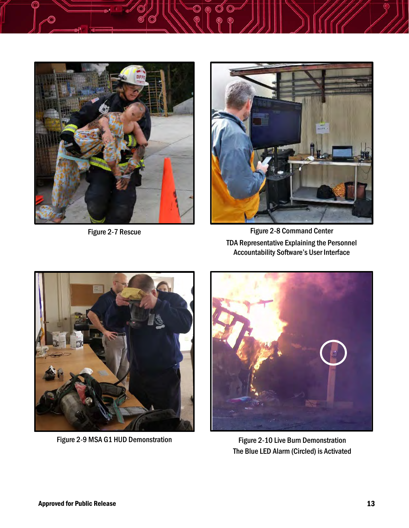



Figure 2-7 Rescue Figure 2-8 Command Center TDA Representative Explaining the Personnel Accountability Software's User Interface

<span id="page-13-0"></span>

Figure 2-9 MSA G1 HUD Demonstration Figure 2-10 Live Burn Demonstration

<span id="page-13-1"></span>

The Blue LED Alarm (Circled) is Activated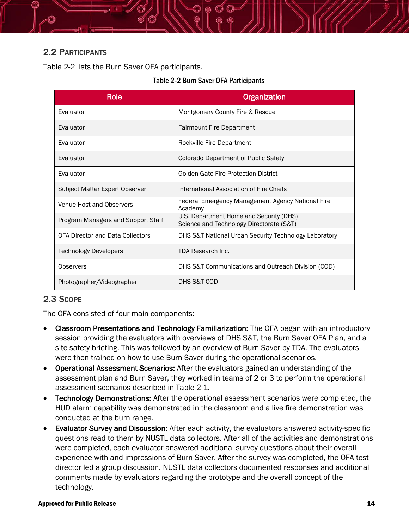

### <span id="page-14-0"></span>2.2 PARTICIPANTS

<span id="page-14-2"></span>[Table 2-2](#page-14-2) lists the Burn Saver OFA participants.

#### Table 2-2 Burn Saver OFA Participants

| <b>Role</b>                             | Organization                                                                        |
|-----------------------------------------|-------------------------------------------------------------------------------------|
| Evaluator                               | Montgomery County Fire & Rescue                                                     |
| Evaluator                               | <b>Fairmount Fire Department</b>                                                    |
| Evaluator                               | Rockville Fire Department                                                           |
| Evaluator                               | Colorado Department of Public Safety                                                |
| Evaluator                               | Golden Gate Fire Protection District                                                |
| Subject Matter Expert Observer          | International Association of Fire Chiefs                                            |
| Venue Host and Observers                | Federal Emergency Management Agency National Fire<br>Academy                        |
| Program Managers and Support Staff      | U.S. Department Homeland Security (DHS)<br>Science and Technology Directorate (S&T) |
| <b>OFA Director and Data Collectors</b> | DHS S&T National Urban Security Technology Laboratory                               |
| <b>Technology Developers</b>            | TDA Research Inc.                                                                   |
| Observers                               | DHS S&T Communications and Outreach Division (COD)                                  |
| Photographer/Videographer               | DHS S&T COD                                                                         |

### <span id="page-14-1"></span>2.3 SCOPE

The OFA consisted of four main components:

- Classroom Presentations and Technology Familiarization: The OFA began with an introductory session providing the evaluators with overviews of DHS S&T, the Burn Saver OFA Plan, and a site safety briefing. This was followed by an overview of Burn Saver by TDA. The evaluators were then trained on how to use Burn Saver during the operational scenarios.
- Operational Assessment Scenarios: After the evaluators gained an understanding of the assessment plan and Burn Saver, they worked in teams of 2 or 3 to perform the operational assessment scenarios described in [Table 2-1.](#page-11-0)
- Technology Demonstrations: After the operational assessment scenarios were completed, the HUD alarm capability was demonstrated in the classroom and a live fire demonstration was conducted at the burn range.
- Evaluator Survey and Discussion: After each activity, the evaluators answered activity-specific questions read to them by NUSTL data collectors. After all of the activities and demonstrations were completed, each evaluator answered additional survey questions about their overall experience with and impressions of Burn Saver. After the survey was completed, the OFA test director led a group discussion. NUSTL data collectors documented responses and additional comments made by evaluators regarding the prototype and the overall concept of the technology.

#### Approved for Public Release 24 and 2008 and 2008 and 2008 and 2008 and 2008 and 2008 and 2008 and 2008 and 200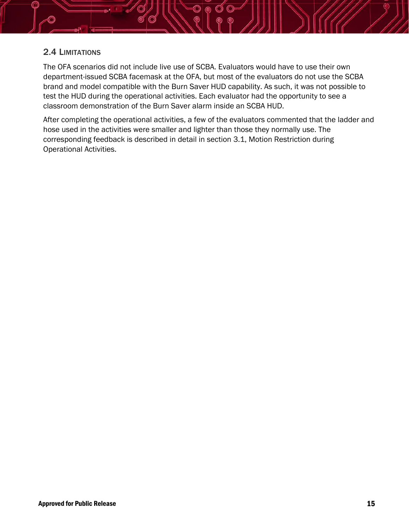

#### <span id="page-15-0"></span>2.4 LIMITATIONS

The OFA scenarios did not include live use of SCBA. Evaluators would have to use their own department-issued SCBA facemask at the OFA, but most of the evaluators do not use the SCBA brand and model compatible with the Burn Saver HUD capability. As such, it was not possible to test the HUD during the operational activities. Each evaluator had the opportunity to see a classroom demonstration of the Burn Saver alarm inside an SCBA HUD.

After completing the operational activities, a few of the evaluators commented that the ladder and hose used in the activities were smaller and lighter than those they normally use. The corresponding feedback is described in detail in section [3.1,](#page-16-1) Motion Restriction during Operational Activities.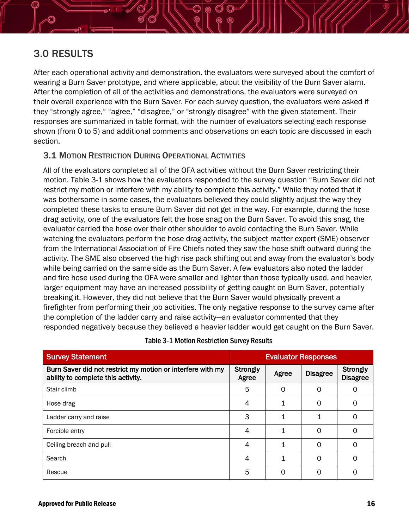

# <span id="page-16-0"></span>3.0 RESULTS

After each operational activity and demonstration, the evaluators were surveyed about the comfort of wearing a Burn Saver prototype, and where applicable, about the visibility of the Burn Saver alarm. After the completion of all of the activities and demonstrations, the evaluators were surveyed on their overall experience with the Burn Saver. For each survey question, the evaluators were asked if they "strongly agree," "agree," "disagree," or "strongly disagree" with the given statement. Their responses are summarized in table format, with the number of evaluators selecting each response shown (from 0 to 5) and additional comments and observations on each topic are discussed in each section.

### <span id="page-16-1"></span>3.1 MOTION RESTRICTION DURING OPERATIONAL ACTIVITIES

All of the evaluators completed all of the OFA activities without the Burn Saver restricting their motion. [Table 3-1](#page-16-2) shows how the evaluators responded to the survey question "Burn Saver did not restrict my motion or interfere with my ability to complete this activity." While they noted that it was bothersome in some cases, the evaluators believed they could slightly adjust the way they completed these tasks to ensure Burn Saver did not get in the way. For example, during the hose drag activity, one of the evaluators felt the hose snag on the Burn Saver. To avoid this snag, the evaluator carried the hose over their other shoulder to avoid contacting the Burn Saver. While watching the evaluators perform the hose drag activity, the subject matter expert (SME) observer from the International Association of Fire Chiefs noted they saw the hose shift outward during the activity. The SME also observed the high rise pack shifting out and away from the evaluator's body while being carried on the same side as the Burn Saver. A few evaluators also noted the ladder and fire hose used during the OFA were smaller and lighter than those typically used, and heavier, larger equipment may have an increased possibility of getting caught on Burn Saver, potentially breaking it. However, they did not believe that the Burn Saver would physically prevent a firefighter from performing their job activities. The only negative response to the survey came after the completion of the ladder carry and raise activity—an evaluator commented that they responded negatively because they believed a heavier ladder would get caught on the Burn Saver.

<span id="page-16-2"></span>

| <b>Survey Statement</b>                                                                          | <b>Evaluator Responses</b> |       |                 |                             |
|--------------------------------------------------------------------------------------------------|----------------------------|-------|-----------------|-----------------------------|
| Burn Saver did not restrict my motion or interfere with my<br>ability to complete this activity. | Strongly<br>Agree          | Agree | <b>Disagree</b> | Strongly<br><b>Disagree</b> |
| Stair climb                                                                                      | 5                          | 0     | Ω               | 0                           |
| Hose drag                                                                                        | 4                          | 1     | $\Omega$        | 0                           |
| Ladder carry and raise                                                                           | 3                          | 1     | 1               | O                           |
| Forcible entry                                                                                   | 4                          | 1     | Ω               | O                           |
| Ceiling breach and pull                                                                          | 4                          | 1     | Ω               | O                           |
| Search                                                                                           | 4                          | 1     | $\Omega$        | Ω                           |
| Rescue                                                                                           | 5                          | ი     | ∩               | ი                           |

#### Table 3-1 Motion Restriction Survey Results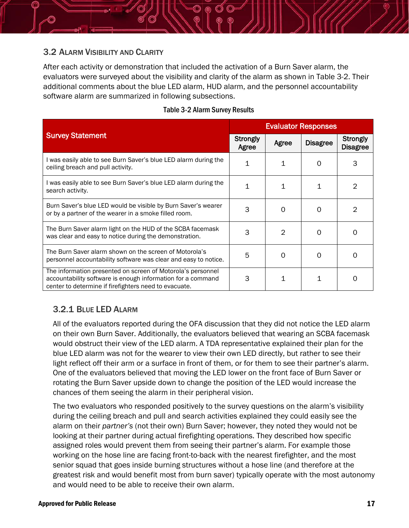

#### <span id="page-17-0"></span>3.2 ALARM VISIBILITY AND CLARITY

After each activity or demonstration that included the activation of a Burn Saver alarm, the evaluators were surveyed about the visibility and clarity of the alarm as shown in [Table 3-2.](#page-17-2) Their additional comments about the blue LED alarm, HUD alarm, and the personnel accountability software alarm are summarized in following subsections.

<span id="page-17-2"></span>

|                                                                                                                                                                                     | <b>Evaluator Responses</b> |                |                 |                                    |
|-------------------------------------------------------------------------------------------------------------------------------------------------------------------------------------|----------------------------|----------------|-----------------|------------------------------------|
| <b>Survey Statement</b>                                                                                                                                                             | <b>Strongly</b><br>Agree   | Agree          | <b>Disagree</b> | <b>Strongly</b><br><b>Disagree</b> |
| I was easily able to see Burn Saver's blue LED alarm during the<br>ceiling breach and pull activity.                                                                                | 1                          | 1              | 0               |                                    |
| I was easily able to see Burn Saver's blue LED alarm during the<br>search activity.                                                                                                 | 1                          | 1              | $\mathbf 1$     | 2                                  |
| Burn Saver's blue LED would be visible by Burn Saver's wearer<br>or by a partner of the wearer in a smoke filled room.                                                              | 3                          | $\Omega$       | 0               | 2                                  |
| The Burn Saver alarm light on the HUD of the SCBA facemask<br>was clear and easy to notice during the demonstration.                                                                | 3                          | $\mathfrak{D}$ | $\Omega$        | Ω                                  |
| The Burn Saver alarm shown on the screen of Motorola's<br>personnel accountability software was clear and easy to notice.                                                           | 5                          | $\Omega$       | 0               | Ω                                  |
| The information presented on screen of Motorola's personnel<br>accountability software is enough information for a command<br>center to determine if firefighters need to evacuate. | 3                          | 1              | 1               |                                    |

#### Table 3-2 Alarm Survey Results

### <span id="page-17-1"></span>3.2.1 BLUE LED ALARM

All of the evaluators reported during the OFA discussion that they did not notice the LED alarm on their own Burn Saver. Additionally, the evaluators believed that wearing an SCBA facemask would obstruct their view of the LED alarm. A TDA representative explained their plan for the blue LED alarm was not for the wearer to view their own LED directly, but rather to see their light reflect off their arm or a surface in front of them, or for them to see their partner's alarm. One of the evaluators believed that moving the LED lower on the front face of Burn Saver or rotating the Burn Saver upside down to change the position of the LED would increase the chances of them seeing the alarm in their peripheral vision.

The two evaluators who responded positively to the survey questions on the alarm's visibility during the ceiling breach and pull and search activities explained they could easily see the alarm on their *partner's* (not their own) Burn Saver; however, they noted they would not be looking at their partner during actual firefighting operations. They described how specific assigned roles would prevent them from seeing their partner's alarm. For example those working on the hose line are facing front-to-back with the nearest firefighter, and the most senior squad that goes inside burning structures without a hose line (and therefore at the greatest risk and would benefit most from burn saver) typically operate with the most autonomy and would need to be able to receive their own alarm.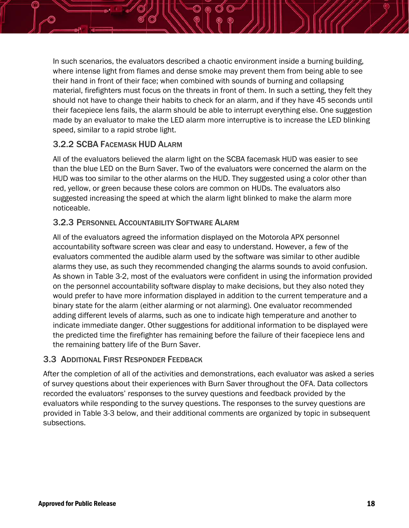In such scenarios, the evaluators described a chaotic environment inside a burning building, where intense light from flames and dense smoke may prevent them from being able to see their hand in front of their face; when combined with sounds of burning and collapsing material, firefighters must focus on the threats in front of them. In such a setting, they felt they should not have to change their habits to check for an alarm, and if they have 45 seconds until their facepiece lens fails, the alarm should be able to interrupt everything else. One suggestion made by an evaluator to make the LED alarm more interruptive is to increase the LED blinking speed, similar to a rapid strobe light.

### <span id="page-18-0"></span>3.2.2 SCBA FACEMASK HUD ALARM

All of the evaluators believed the alarm light on the SCBA facemask HUD was easier to see than the blue LED on the Burn Saver. Two of the evaluators were concerned the alarm on the HUD was too similar to the other alarms on the HUD. They suggested using a color other than red, yellow, or green because these colors are common on HUDs. The evaluators also suggested increasing the speed at which the alarm light blinked to make the alarm more noticeable.

#### <span id="page-18-1"></span>3.2.3 PERSONNEL ACCOUNTABILITY SOFTWARE ALARM

All of the evaluators agreed the information displayed on the Motorola APX personnel accountability software screen was clear and easy to understand. However, a few of the evaluators commented the audible alarm used by the software was similar to other audible alarms they use, as such they recommended changing the alarms sounds to avoid confusion. As shown in [Table 3-2,](#page-17-2) most of the evaluators were confident in using the information provided on the personnel accountability software display to make decisions, but they also noted they would prefer to have more information displayed in addition to the current temperature and a binary state for the alarm (either alarming or not alarming). One evaluator recommended adding different levels of alarms, such as one to indicate high temperature and another to indicate immediate danger. Other suggestions for additional information to be displayed were the predicted time the firefighter has remaining before the failure of their facepiece lens and the remaining battery life of the Burn Saver.

#### <span id="page-18-2"></span>3.3 ADDITIONAL FIRST RESPONDER FEEDBACK

After the completion of all of the activities and demonstrations, each evaluator was asked a series of survey questions about their experiences with Burn Saver throughout the OFA. Data collectors recorded the evaluators' responses to the survey questions and feedback provided by the evaluators while responding to the survey questions. The responses to the survey questions are provided in [Table 3-3](#page-19-1) below, and their additional comments are organized by topic in subsequent subsections.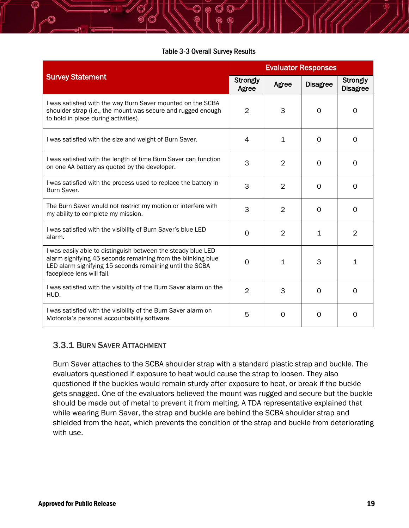#### Table 3-3 Overall Survey Results

<span id="page-19-1"></span>

|                                                                                                                                                                                                                       | <b>Evaluator Responses</b> |                |                 |                             |
|-----------------------------------------------------------------------------------------------------------------------------------------------------------------------------------------------------------------------|----------------------------|----------------|-----------------|-----------------------------|
| <b>Survey Statement</b>                                                                                                                                                                                               | Strongly<br>Agree          | Agree          | <b>Disagree</b> | Strongly<br><b>Disagree</b> |
| I was satisfied with the way Burn Saver mounted on the SCBA<br>shoulder strap (i.e., the mount was secure and rugged enough<br>to hold in place during activities).                                                   | $\overline{2}$             | 3              | 0               | 0                           |
| I was satisfied with the size and weight of Burn Saver.                                                                                                                                                               | 4                          | $\mathbf{1}$   | 0               | 0                           |
| I was satisfied with the length of time Burn Saver can function<br>on one AA battery as quoted by the developer.                                                                                                      | 3                          | $\overline{2}$ | 0               | $\mathbf 0$                 |
| I was satisfied with the process used to replace the battery in<br>Burn Saver.                                                                                                                                        | 3                          | $\overline{2}$ | 0               | 0                           |
| The Burn Saver would not restrict my motion or interfere with<br>my ability to complete my mission.                                                                                                                   | 3                          | $\overline{2}$ | 0               | $\circ$                     |
| I was satisfied with the visibility of Burn Saver's blue LED<br>alarm.                                                                                                                                                | $\Omega$                   | 2              | 1               | $\overline{2}$              |
| I was easily able to distinguish between the steady blue LED<br>alarm signifying 45 seconds remaining from the blinking blue<br>LED alarm signifying 15 seconds remaining until the SCBA<br>facepiece lens will fail. | 0                          | $\mathbf{1}$   | 3               | $\mathbf{1}$                |
| I was satisfied with the visibility of the Burn Saver alarm on the<br>HUD.                                                                                                                                            | $\overline{2}$             | 3              | 0               | $\overline{0}$              |
| I was satisfied with the visibility of the Burn Saver alarm on<br>Motorola's personal accountability software.                                                                                                        | 5                          | 0              | 0               | O                           |

#### <span id="page-19-0"></span>3.3.1 BURN SAVER ATTACHMENT

Burn Saver attaches to the SCBA shoulder strap with a standard plastic strap and buckle. The evaluators questioned if exposure to heat would cause the strap to loosen. They also questioned if the buckles would remain sturdy after exposure to heat, or break if the buckle gets snagged. One of the evaluators believed the mount was rugged and secure but the buckle should be made out of metal to prevent it from melting. A TDA representative explained that while wearing Burn Saver, the strap and buckle are behind the SCBA shoulder strap and shielded from the heat, which prevents the condition of the strap and buckle from deteriorating with use.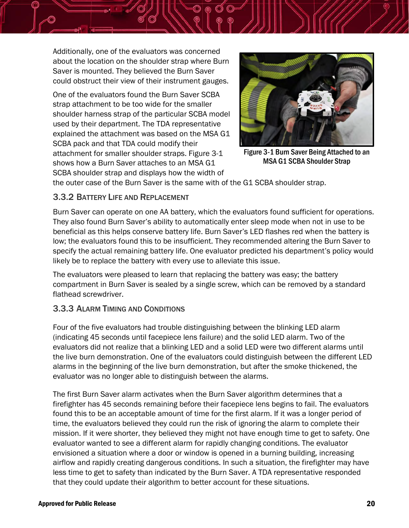Additionally, one of the evaluators was concerned about the location on the shoulder strap where Burn Saver is mounted. They believed the Burn Saver could obstruct their view of their instrument gauges.

One of the evaluators found the Burn Saver SCBA strap attachment to be too wide for the smaller shoulder harness strap of the particular SCBA model used by their department. The TDA representative explained the attachment was based on the MSA G1 SCBA pack and that TDA could modify their attachment for smaller shoulder straps. [Figure 3-1](#page-20-2) shows how a Burn Saver attaches to an MSA G1 SCBA shoulder strap and displays how the width of

<span id="page-20-2"></span>

Figure 3-1 Burn Saver Being Attached to an MSA G1 SCBA Shoulder Strap

the outer case of the Burn Saver is the same with of the G1 SCBA shoulder strap.

#### <span id="page-20-0"></span>3.3.2 BATTERY LIFE AND REPLACEMENT

Burn Saver can operate on one AA battery, which the evaluators found sufficient for operations. They also found Burn Saver's ability to automatically enter sleep mode when not in use to be beneficial as this helps conserve battery life. Burn Saver's LED flashes red when the battery is low; the evaluators found this to be insufficient. They recommended altering the Burn Saver to specify the actual remaining battery life. One evaluator predicted his department's policy would likely be to replace the battery with every use to alleviate this issue.

The evaluators were pleased to learn that replacing the battery was easy; the battery compartment in Burn Saver is sealed by a single screw, which can be removed by a standard flathead screwdriver.

### <span id="page-20-1"></span>3.3.3 ALARM TIMING AND CONDITIONS

Four of the five evaluators had trouble distinguishing between the blinking LED alarm (indicating 45 seconds until facepiece lens failure) and the solid LED alarm. Two of the evaluators did not realize that a blinking LED and a solid LED were two different alarms until the live burn demonstration. One of the evaluators could distinguish between the different LED alarms in the beginning of the live burn demonstration, but after the smoke thickened, the evaluator was no longer able to distinguish between the alarms.

The first Burn Saver alarm activates when the Burn Saver algorithm determines that a firefighter has 45 seconds remaining before their facepiece lens begins to fail. The evaluators found this to be an acceptable amount of time for the first alarm. If it was a longer period of time, the evaluators believed they could run the risk of ignoring the alarm to complete their mission. If it were shorter, they believed they might not have enough time to get to safety. One evaluator wanted to see a different alarm for rapidly changing conditions. The evaluator envisioned a situation where a door or window is opened in a burning building, increasing airflow and rapidly creating dangerous conditions. In such a situation, the firefighter may have less time to get to safety than indicated by the Burn Saver. A TDA representative responded that they could update their algorithm to better account for these situations.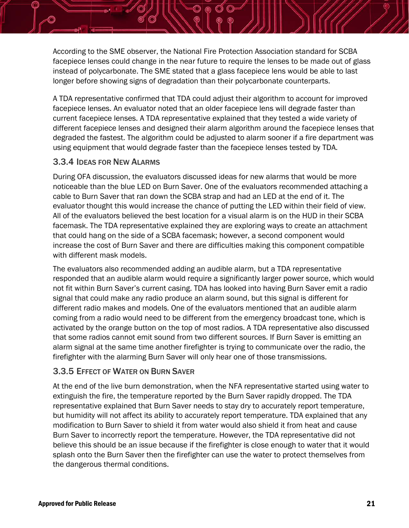According to the SME observer, the National Fire Protection Association standard for SCBA facepiece lenses could change in the near future to require the lenses to be made out of glass instead of polycarbonate. The SME stated that a glass facepiece lens would be able to last longer before showing signs of degradation than their polycarbonate counterparts.

A TDA representative confirmed that TDA could adjust their algorithm to account for improved facepiece lenses. An evaluator noted that an older facepiece lens will degrade faster than current facepiece lenses. A TDA representative explained that they tested a wide variety of different facepiece lenses and designed their alarm algorithm around the facepiece lenses that degraded the fastest. The algorithm could be adjusted to alarm sooner if a fire department was using equipment that would degrade faster than the facepiece lenses tested by TDA.

#### <span id="page-21-0"></span>3.3.4 IDEAS FOR NEW ALARMS

During OFA discussion, the evaluators discussed ideas for new alarms that would be more noticeable than the blue LED on Burn Saver. One of the evaluators recommended attaching a cable to Burn Saver that ran down the SCBA strap and had an LED at the end of it. The evaluator thought this would increase the chance of putting the LED within their field of view. All of the evaluators believed the best location for a visual alarm is on the HUD in their SCBA facemask. The TDA representative explained they are exploring ways to create an attachment that could hang on the side of a SCBA facemask; however, a second component would increase the cost of Burn Saver and there are difficulties making this component compatible with different mask models.

The evaluators also recommended adding an audible alarm, but a TDA representative responded that an audible alarm would require a significantly larger power source, which would not fit within Burn Saver's current casing. TDA has looked into having Burn Saver emit a radio signal that could make any radio produce an alarm sound, but this signal is different for different radio makes and models. One of the evaluators mentioned that an audible alarm coming from a radio would need to be different from the emergency broadcast tone, which is activated by the orange button on the top of most radios. A TDA representative also discussed that some radios cannot emit sound from two different sources. If Burn Saver is emitting an alarm signal at the same time another firefighter is trying to communicate over the radio, the firefighter with the alarming Burn Saver will only hear one of those transmissions.

### <span id="page-21-1"></span>3.3.5 EFFECT OF WATER ON BURN SAVER

At the end of the live burn demonstration, when the NFA representative started using water to extinguish the fire, the temperature reported by the Burn Saver rapidly dropped. The TDA representative explained that Burn Saver needs to stay dry to accurately report temperature, but humidity will not affect its ability to accurately report temperature. TDA explained that any modification to Burn Saver to shield it from water would also shield it from heat and cause Burn Saver to incorrectly report the temperature. However, the TDA representative did not believe this should be an issue because if the firefighter is close enough to water that it would splash onto the Burn Saver then the firefighter can use the water to protect themselves from the dangerous thermal conditions.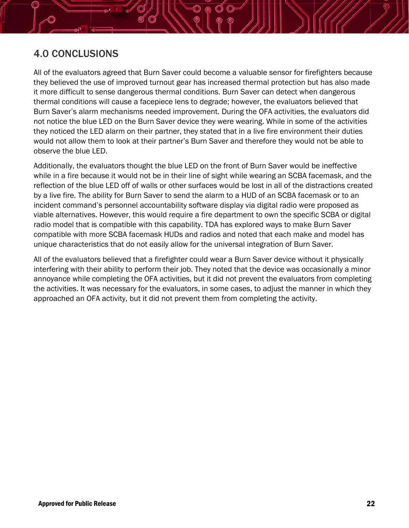# <span id="page-22-0"></span>4.0 CONCLUSIONS

All of the evaluators agreed that Burn Saver could become a valuable sensor for firefighters because they believed the use of improved turnout gear has increased thermal protection but has also made it more difficult to sense dangerous thermal conditions. Burn Saver can detect when dangerous thermal conditions will cause a facepiece lens to degrade; however, the evaluators believed that Burn Saver's alarm mechanisms needed improvement. During the OFA activities, the evaluators did not notice the blue LED on the Burn Saver device they were wearing. While in some of the activities they noticed the LED alarm on their partner, they stated that in a live fire environment their duties would not allow them to look at their partner's Burn Saver and therefore they would not be able to observe the blue LED.

Additionally, the evaluators thought the blue LED on the front of Burn Saver would be ineffective while in a fire because it would not be in their line of sight while wearing an SCBA facemask, and the reflection of the blue LED off of walls or other surfaces would be lost in all of the distractions created by a live fire. The ability for Burn Saver to send the alarm to a HUD of an SCBA facemask or to an incident command's personnel accountability software display via digital radio were proposed as viable alternatives. However, this would require a fire department to own the specific SCBA or digital radio model that is compatible with this capability. TDA has explored ways to make Burn Saver compatible with more SCBA facemask HUDs and radios and noted that each make and model has unique characteristics that do not easily allow for the universal integration of Burn Saver.

All of the evaluators believed that a firefighter could wear a Burn Saver device without it physically interfering with their ability to perform their job. They noted that the device was occasionally a minor annoyance while completing the OFA activities, but it did not prevent the evaluators from completing the activities. It was necessary for the evaluators, in some cases, to adjust the manner in which they approached an OFA activity, but it did not prevent them from completing the activity.